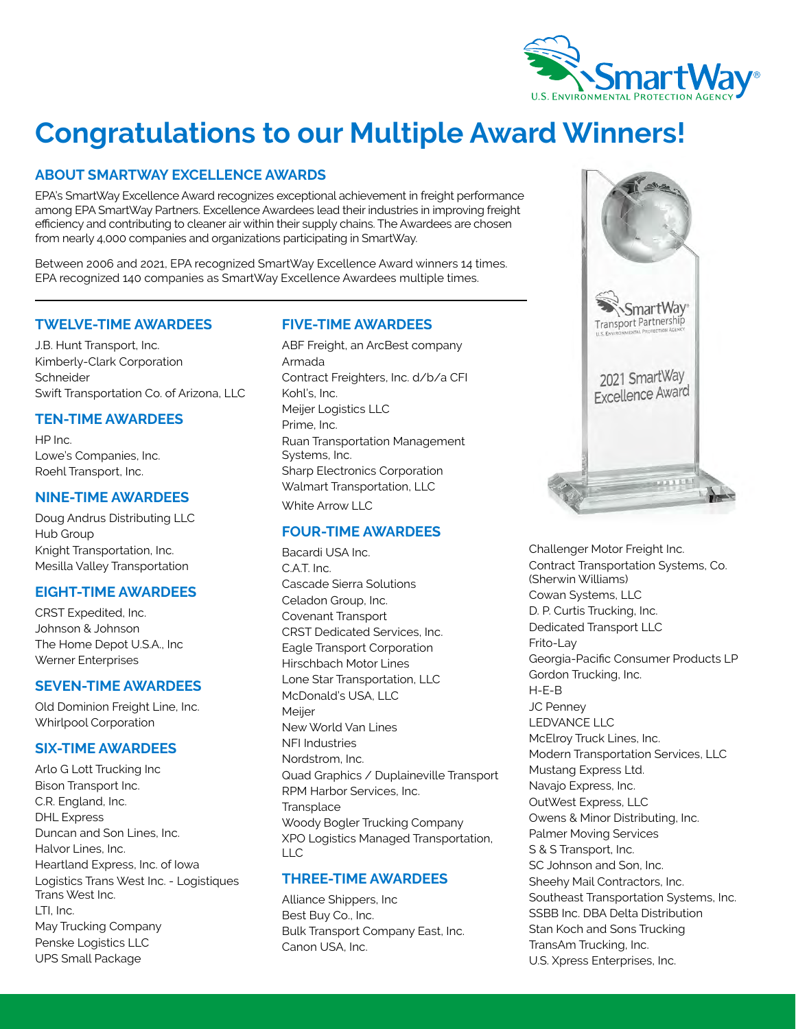

# **Congratulations to our Multiple Award Winners!**

## **ABOUT SMARTWAY EXCELLENCE AWARDS**

EPA's SmartWay Excellence Award recognizes exceptional achievement in freight performance among EPA SmartWay Partners. Excellence Awardees lead their industries in improving freight efficiency and contributing to cleaner air within their supply chains. The Awardees are chosen from nearly 4,000 companies and organizations participating in SmartWay.

Between 2006 and 2021, EPA recognized SmartWay Excellence Award winners 14 times. EPA recognized 140 companies as SmartWay Excellence Awardees multiple times.

### **TWELVE-TIME AWARDEES**

J.B. Hunt Transport, Inc. Kimberly-Clark Corporation **Schneider** Swift Transportation Co. of Arizona, LLC

## **TEN-TIME AWARDEES**

HP Inc. Lowe's Companies, Inc. Roehl Transport, Inc.

### **NINE-TIME AWARDEES**

Doug Andrus Distributing LLC Hub Group Knight Transportation, Inc. Mesilla Valley Transportation

### **EIGHT-TIME AWARDEES**

CRST Expedited, Inc. Johnson & Johnson The Home Depot U.S.A., Inc Werner Enterprises

### **SEVEN-TIME AWARDEES**

Old Dominion Freight Line, Inc. Whirlpool Corporation

### **SIX-TIME AWARDEES**

Arlo G Lott Trucking Inc Bison Transport Inc. C.R. England, Inc. DHL Express Duncan and Son Lines, Inc. Halvor Lines, Inc. Heartland Express, Inc. of Iowa Logistics Trans West Inc. - Logistiques Trans West Inc. LTI, Inc. May Trucking Company Penske Logistics LLC UPS Small Package

### **FIVE-TIME AWARDEES**

ABF Freight, an ArcBest company Armada Contract Freighters, Inc. d/b/a CFI Kohl's, Inc. Meijer Logistics LLC Prime, Inc. Ruan Transportation Management Systems, Inc. Sharp Electronics Corporation Walmart Transportation, LLC White Arrow LLC

### **FOUR-TIME AWARDEES**

Bacardi USA Inc. C.A.T. Inc. Cascade Sierra Solutions Celadon Group, Inc. Covenant Transport CRST Dedicated Services, Inc. Eagle Transport Corporation Hirschbach Motor Lines Lone Star Transportation, LLC McDonald's USA, LLC Meijer New World Van Lines NFI Industries Nordstrom, Inc. Quad Graphics / Duplaineville Transport RPM Harbor Services, Inc. **Transplace** Woody Bogler Trucking Company XPO Logistics Managed Transportation, LLC

### **THREE-TIME AWARDEES**

Alliance Shippers, Inc Best Buy Co., Inc. Bulk Transport Company East, Inc. Canon USA, Inc.



Challenger Motor Freight Inc. Contract Transportation Systems, Co. (Sherwin Williams) Cowan Systems, LLC D. P. Curtis Trucking, Inc. Dedicated Transport LLC Frito-Lay Georgia-Pacific Consumer Products LP Gordon Trucking, Inc. H-E-B JC Penney LEDVANCE LLC McElroy Truck Lines, Inc. Modern Transportation Services, LLC Mustang Express Ltd. Navajo Express, Inc. OutWest Express, LLC Owens & Minor Distributing, Inc. Palmer Moving Services S & S Transport, Inc. SC Johnson and Son, Inc. Sheehy Mail Contractors, Inc. Southeast Transportation Systems, Inc. SSBB Inc. DBA Delta Distribution Stan Koch and Sons Trucking TransAm Trucking, Inc. U.S. Xpress Enterprises, Inc.